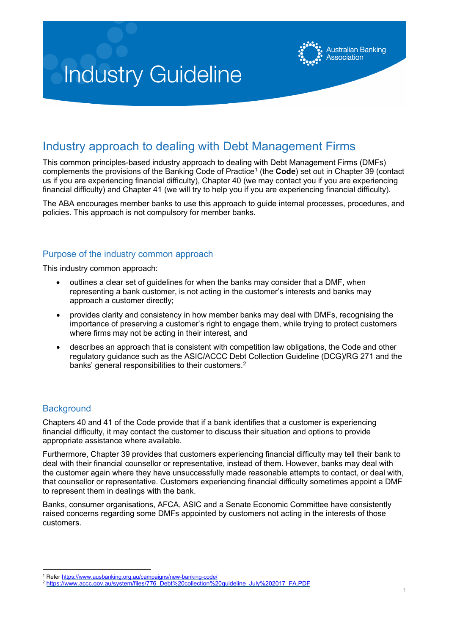

# Industry approach to dealing with Debt Management Firms

This common principles-based industry approach to dealing with Debt Management Firms (DMFs) complements the provisions of the Banking Code of Practice<sup>[1](#page-0-0)</sup> (the **Code**) set out in Chapter 39 (contact us if you are experiencing financial difficulty), Chapter 40 (we may contact you if you are experiencing financial difficulty) and Chapter 41 (we will try to help you if you are experiencing financial difficulty).

The ABA encourages member banks to use this approach to guide internal processes, procedures, and policies. This approach is not compulsory for member banks.

# Purpose of the industry common approach

This industry common approach:

- outlines a clear set of guidelines for when the banks may consider that a DMF, when representing a bank customer, is not acting in the customer's interests and banks may approach a customer directly;
- provides clarity and consistency in how member banks may deal with DMFs, recognising the importance of preserving a customer's right to engage them, while trying to protect customers where firms may not be acting in their interest, and
- describes an approach that is consistent with competition law obligations, the Code and other regulatory guidance such as the ASIC/ACCC Debt Collection Guideline (DCG)/RG 271 and the banks' general responsibilities to their customers.<sup>[2](#page-0-1)</sup>

# **Background**

Chapters 40 and 41 of the Code provide that if a bank identifies that a customer is experiencing financial difficulty, it may contact the customer to discuss their situation and options to provide appropriate assistance where available.

Furthermore, Chapter 39 provides that customers experiencing financial difficulty may tell their bank to deal with their financial counsellor or representative, instead of them. However, banks may deal with the customer again where they have unsuccessfully made reasonable attempts to contact, or deal with, that counsellor or representative. Customers experiencing financial difficulty sometimes appoint a DMF to represent them in dealings with the bank.

Banks, consumer organisations, AFCA, ASIC and a Senate Economic Committee have consistently raised concerns regarding some DMFs appointed by customers not acting in the interests of those customers.

<span id="page-0-0"></span><sup>&</sup>lt;sup>1</sup> Refer https://www.ausbanking.org.au/campaigns/new-banking-code/

<span id="page-0-1"></span><sup>2</sup> [https://www.accc.gov.au/system/files/776\\_Debt%20collection%20guideline\\_July%202017\\_FA.PDF](https://www.accc.gov.au/system/files/776_Debt%20collection%20guideline_July%202017_FA.PDF)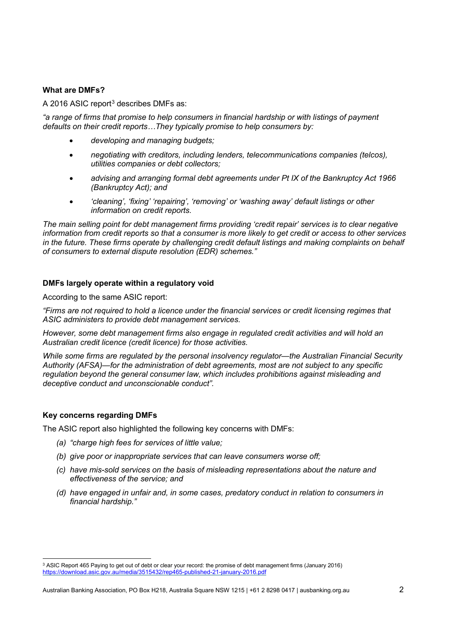## **What are DMFs?**

A 2016 ASIC report<sup>[3](#page-1-0)</sup> describes DMFs as:

*"a range of firms that promise to help consumers in financial hardship or with listings of payment defaults on their credit reports…They typically promise to help consumers by:*

- *developing and managing budgets;*
- *negotiating with creditors, including lenders, telecommunications companies (telcos), utilities companies or debt collectors;*
- *advising and arranging formal debt agreements under Pt IX of the Bankruptcy Act 1966 (Bankruptcy Act); and*
- *'cleaning', 'fixing' 'repairing', 'removing' or 'washing away' default listings or other information on credit reports.*

*The main selling point for debt management firms providing 'credit repair' services is to clear negative information from credit reports so that a consumer is more likely to get credit or access to other services in the future. These firms operate by challenging credit default listings and making complaints on behalf of consumers to external dispute resolution (EDR) schemes."*

## **DMFs largely operate within a regulatory void**

According to the same ASIC report:

*"Firms are not required to hold a licence under the financial services or credit licensing regimes that ASIC administers to provide debt management services.* 

*However, some debt management firms also engage in regulated credit activities and will hold an Australian credit licence (credit licence) for those activities.* 

*While some firms are regulated by the personal insolvency regulator—the Australian Financial Security Authority (AFSA)—for the administration of debt agreements, most are not subject to any specific regulation beyond the general consumer law, which includes prohibitions against misleading and deceptive conduct and unconscionable conduct".*

#### **Key concerns regarding DMFs**

The ASIC report also highlighted the following key concerns with DMFs:

- *(a) "charge high fees for services of little value;*
- *(b) give poor or inappropriate services that can leave consumers worse off;*
- *(c) have mis-sold services on the basis of misleading representations about the nature and effectiveness of the service; and*
- *(d) have engaged in unfair and, in some cases, predatory conduct in relation to consumers in financial hardship."*

<span id="page-1-0"></span><sup>3</sup> ASIC Report 465 Paying to get out of debt or clear your record: the promise of debt management firms (January 2016) <https://download.asic.gov.au/media/3515432/rep465-published-21-january-2016.pdf>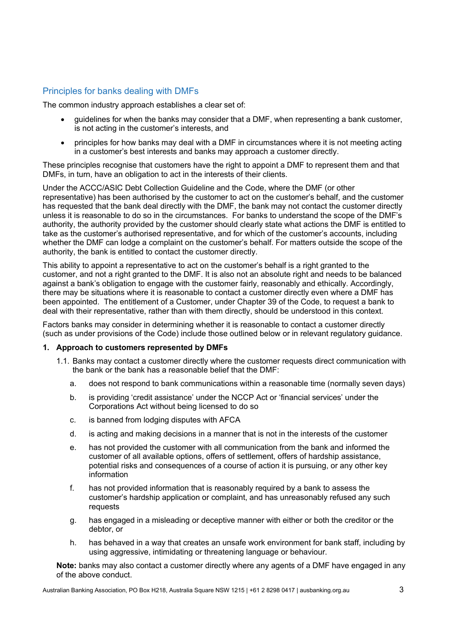# Principles for banks dealing with DMFs

The common industry approach establishes a clear set of:

- guidelines for when the banks may consider that a DMF, when representing a bank customer, is not acting in the customer's interests, and
- principles for how banks may deal with a DMF in circumstances where it is not meeting acting in a customer's best interests and banks may approach a customer directly.

These principles recognise that customers have the right to appoint a DMF to represent them and that DMFs, in turn, have an obligation to act in the interests of their clients.

Under the ACCC/ASIC Debt Collection Guideline and the Code, where the DMF (or other representative) has been authorised by the customer to act on the customer's behalf, and the customer has requested that the bank deal directly with the DMF, the bank may not contact the customer directly unless it is reasonable to do so in the circumstances. For banks to understand the scope of the DMF's authority, the authority provided by the customer should clearly state what actions the DMF is entitled to take as the customer's authorised representative, and for which of the customer's accounts, including whether the DMF can lodge a complaint on the customer's behalf. For matters outside the scope of the authority, the bank is entitled to contact the customer directly.

This ability to appoint a representative to act on the customer's behalf is a right granted to the customer, and not a right granted to the DMF. It is also not an absolute right and needs to be balanced against a bank's obligation to engage with the customer fairly, reasonably and ethically. Accordingly, there may be situations where it is reasonable to contact a customer directly even where a DMF has been appointed. The entitlement of a Customer, under Chapter 39 of the Code, to request a bank to deal with their representative, rather than with them directly, should be understood in this context.

Factors banks may consider in determining whether it is reasonable to contact a customer directly (such as under provisions of the Code) include those outlined below or in relevant regulatory guidance.

# **1. Approach to customers represented by DMFs**

- 1.1. Banks may contact a customer directly where the customer requests direct communication with the bank or the bank has a reasonable belief that the DMF:
	- a. does not respond to bank communications within a reasonable time (normally seven days)
	- b. is providing 'credit assistance' under the NCCP Act or 'financial services' under the Corporations Act without being licensed to do so
	- c. is banned from lodging disputes with AFCA
	- d. is acting and making decisions in a manner that is not in the interests of the customer
	- e. has not provided the customer with all communication from the bank and informed the customer of all available options, offers of settlement, offers of hardship assistance, potential risks and consequences of a course of action it is pursuing, or any other key information
	- f. has not provided information that is reasonably required by a bank to assess the customer's hardship application or complaint, and has unreasonably refused any such requests
	- g. has engaged in a misleading or deceptive manner with either or both the creditor or the debtor, or
	- h. has behaved in a way that creates an unsafe work environment for bank staff, including by using aggressive, intimidating or threatening language or behaviour.

**Note:** banks may also contact a customer directly where any agents of a DMF have engaged in any of the above conduct.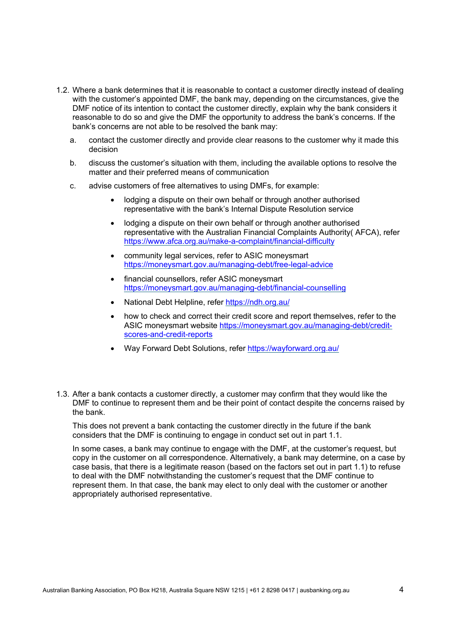- 1.2. Where a bank determines that it is reasonable to contact a customer directly instead of dealing with the customer's appointed DMF, the bank may, depending on the circumstances, give the DMF notice of its intention to contact the customer directly, explain why the bank considers it reasonable to do so and give the DMF the opportunity to address the bank's concerns. If the bank's concerns are not able to be resolved the bank may:
	- a. contact the customer directly and provide clear reasons to the customer why it made this decision
	- b. discuss the customer's situation with them, including the available options to resolve the matter and their preferred means of communication
	- c. advise customers of free alternatives to using DMFs, for example:
		- lodging a dispute on their own behalf or through another authorised representative with the bank's Internal Dispute Resolution service
		- lodging a dispute on their own behalf or through another authorised representative with the Australian Financial Complaints Authority( AFCA), refer <https://www.afca.org.au/make-a-complaint/financial-difficulty>
		- community legal services, refer to ASIC moneysmart <https://moneysmart.gov.au/managing-debt/free-legal-advice>
		- financial counsellors, refer ASIC moneysmart <https://moneysmart.gov.au/managing-debt/financial-counselling>
		- National Debt Helpline, refer<https://ndh.org.au/>
		- how to check and correct their credit score and report themselves, refer to the ASIC moneysmart website [https://moneysmart.gov.au/managing-debt/credit](https://moneysmart.gov.au/managing-debt/credit-scores-and-credit-reports)[scores-and-credit-reports](https://moneysmart.gov.au/managing-debt/credit-scores-and-credit-reports)
		- Way Forward Debt Solutions, refer<https://wayforward.org.au/>
- 1.3. After a bank contacts a customer directly, a customer may confirm that they would like the DMF to continue to represent them and be their point of contact despite the concerns raised by the bank.

This does not prevent a bank contacting the customer directly in the future if the bank considers that the DMF is continuing to engage in conduct set out in part 1.1.

In some cases, a bank may continue to engage with the DMF, at the customer's request, but copy in the customer on all correspondence. Alternatively, a bank may determine, on a case by case basis, that there is a legitimate reason (based on the factors set out in part 1.1) to refuse to deal with the DMF notwithstanding the customer's request that the DMF continue to represent them. In that case, the bank may elect to only deal with the customer or another appropriately authorised representative.